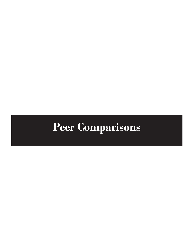# **Peer Comparisons**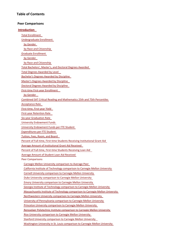### **Table of Contents**

#### **Peer Comparisons**

Total [Enrollment](#page-4-0)

by [Gender](#page-5-0)

[Undergraduate](#page-4-0) Enrollment

by Race and [Citizenship](#page-5-0)

#### **[Introduction](#page-2-0)**

Graduate [Enrollment](#page-6-0) by [Gender](#page-6-0) by Race and [Citizenship](#page-7-0) Total [Bachelors',](#page-8-0) Master's, and Doctoral Degrees Awarded Total Degrees [Awarded](#page-8-0) by Level [Bachelor's](#page-9-0) Degrees Awarded by Discipline Master's Degrees Awarded by [Discipline](#page-10-0) Doctoral Degrees Awarded by [Discipline](#page-11-0)

First‐time First‐year [Enrollment](#page-12-0)

by [Gender](#page-12-0)

Combined SAT Critical Reading and [Mathematics](#page-13-0) 25th and 75th Percentiles

[Acceptance](#page-14-0) Rate

First‐[time,](#page-14-0) First‐year Yield

First‐year [Retention](#page-15-0) Rate

Six‐year [Graduation](#page-15-0) Rate

University [Endowment](#page-16-0) Funds

University [Endowment](#page-16-0) Funds per FTE Student

[Expenditures](#page-17-0) per FTE Student

[Tuition,](#page-17-0) Fees, Room, and Board

Percent of Full‐time, First‐time Students Receiving [Institutional](#page-18-0) Grant Aid

Average Amount of [Institutional](#page-18-0) Grant Aid Received

Percent of Full‐time, First‐time Students [Receiving](#page-19-0) Loan Aid

Average Amount of Student Loan Aid [Received](#page-19-0)

#### Peer Comparisons

Carnegie Mellon University [comparison](#page-20-0) to Average Peer

California Institute of Technology [comparison](#page-21-0) to Carnegie Mellon University

Cornell University [comparison](#page-22-0) to Carnegie Mellon University

Duke University [comparison](#page-23-0) to Carnegie Mellon University

Emory University [comparison](#page-24-0) to Carnegie Mellon University

Georgia Institute of Technology [comparison](#page-25-0) to Carnegie Mellon University

[Massachusetts](#page-26-0) Institute of Technology comparison to Carnegie Mellon University

[Northwestern](#page-27-0) University comparison to Carnegie Mellon University

University of [Pennsylvania](#page-28-0) comparison to Carnegie Mellon University

Princeton University [comparison](#page-29-0) to Carnegie Mellon University

Rensselaer Polytechnic Institute [comparison](#page-30-0) to Carnegie Mellon University

Rice University [comparison](#page-31-0) to Carnegie Mellon University

Stanford University [comparison](#page-32-0) to Carnegie Mellon University

[Washington](#page-33-0) University in St. Louis comparison to Carnegie Mellon University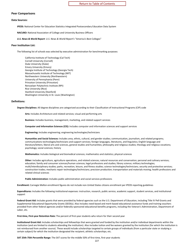#### <span id="page-2-0"></span>**Peer Comparisons**

#### **Data Sources:**

**IPEDS:** National Center for Education Statistics Integrated Postsecondary Education Data System

**NACUBO:** National Association of College and University Business Officers

*U.S. News & World Report: U.S. News & World Report's* "America's Best Colleges"

#### **Peer Institution List:**

The following list of schools was selected by executive administration for benchmarking purposes:

California Institute of Technology (Cal Tech) Cornell University (Cornell) Duke University (Duke) Emory University (Emory) Georgia Institute of Technology (Georgia Tech) Massachusetts Institute of Technology (MIT) Northwestern University (Northwestern) University of Pennsylvania (Penn) Princeton University (Princeton) Rensselaer Polytechnic Institute (RPI) Rice University (Rice) Stanford University (Stanford) Washington University in St. Louis (Washington)

#### **Definitions:**

**Degree Disciplines:** All degree disciplines are categorized according to their Classification of Instructional Programs (CIP) code

**Arts:** Includes Architecture and related services; visual and performing arts

**Business:** Includes business, management, marketing, and related support services

**Computer and Information Sciences (CIS):** Includes computer and information sciences and support services

**Engineering:** Includes engineering; engineering technologies/technicians

**Humanities and Social Sciences:** Includes area, ethnic, cultural, and gender studies; communication, journalism, and related programs; communications technologies/technicians and support services; foreign languages, literatures, and linguistics; English language and literature/letters; liberal arts and sciences, general studies and humanities; philosophy and religious studies; theology and religious vocations; psychology; social sciences; history

**Mathematics:** Includes biological and biomedical sciences; mathematics and statistics; physical sciences

**Other:** Includes agriculture, agriculture operations, and related sciences; natural resources and conservation; personal and culinary services; education; family and consumer sciences/human sciences; legal professions and studies; library science; military technologies; multi/interdisciplinary studies; parks, recreation, leisure, and fitness studies; science technologies/technicians; security and protective services; construction trades; mechanic repair technologies/technicians; precision production; transportation and materials moving; health professions and related clinical sciences

**Public Administration:** Includes public administration and social services professions

**Enrollment:** Carnegie Mellon enrollment figures do not include non-United States citizens enrollment per IPEDS reporting guidelines

**Expenditures:** Includes the following institutional expenses: instruction, research, public service, academic support, student services, and institutional support

**Federal Grant Aid:** Includes grants that were provided by federal agencies such as the U.S. Department of Education, including Title IV Pell Grants and Supplemental Educational Opportunity Grants (SEOGs). Also includes need-based and merit-based educational assistance funds and training vouchers provided from other federal agencies and/or federally-sponsored educational benefits programs, including the Veteran's Administration, Department of Labor, etc.

**First-time, First-year Retention Rate:** The percent of first-year students who return for their second year

**Institutional Grant Aid:** Includes scholarships and fellowships that were granted and funded by the institution and/or individual departments within the institution (and are limited to students attending the institution). Also includes tuition and fee waivers granted by the institution (for which the institution is not reimbursed from another source). These would include scholarships targeted to certain groups of individuals (from a particular state or studying a certain subject) for which the institution designated the recipient; athletic scholarships; etc.

**SAT 25th-75th Percentile Range:** The SAT scores for the middle 50% of first-time, first-year students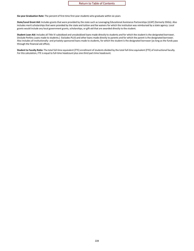#### Return to Table of Contents

**Six-year Graduation Rate:** The percent of first-time first-year students who graduate within six years

**State/Local Grant Aid:** Includes grants that were provided by the state such as Leveraging Educational Assistance Partnerships (LEAP) (formerly SSIGs). Also includes merit scholarships that were provided by the state and tuition and fee waivers for which the institution was reimbursed by a state agency. Local grants would include any local government grants, scholarships, or gift-aid that are awarded directly to the student.

**Student Loan Aid:** Includes all Title IV subsidized and unsubsidized loans made directly to students and for which the student is the designated borrower. (Include Perkins Loans made to students.) Excludes PLUS and other loans made directly to parents and for which the parent is the designated borrower. Also includes all institutionally- and privately-sponsored loans made to students, for which the student is the designated borrower (as long as the funds pass through the financial aid office).

**Student to Faculty Ratio:** The total full-time equivalent (FTE) enrollment of students divided by the total full-time equivalent (FTE) of instructional faculty. For this calculation, FTE is equal to full-time headcount plus one-third part-time headcount.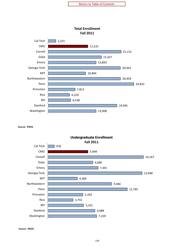<span id="page-4-0"></span>

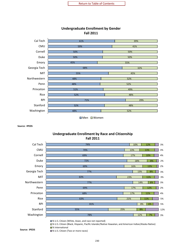<span id="page-5-0"></span>

### **Undergraduate Enrollment by Gender Fall 2011**

■Men ■Women

**Source: IPEDS**

### **Undergraduate Enrollment by Race and Citizenship Fall 2011**



% U.S. Citizen (Black, Hispanic, Pacific Islander/Native Hawaiian, and American Indian/Alaska Native)

■% International

% U.S. Citizen (Two or more races) **Source: IPEDS**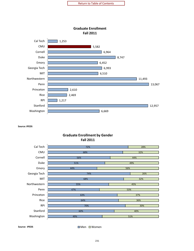<span id="page-6-0"></span>



**Graduate Enrollment by Gender** 

**Source: IPEDS** Men ■ Men ■ Women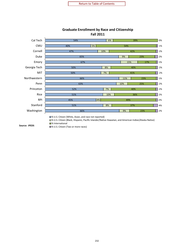<span id="page-7-0"></span>

### **Graduate Enrollment by Race and Citizenship Fall 2011**

% U.S. Citizen (Two or more races) **Source: IPEDS**

■% International

232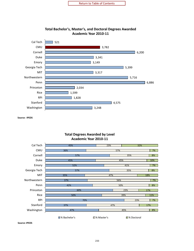<span id="page-8-0"></span>

### **Total Bachelor's, Master's, and Doctoral Degrees Awarded Academic Year 2010-11**

**Source: IPEDS**

### **Total Degrees Awarded by Level Academic Year 2010-11**

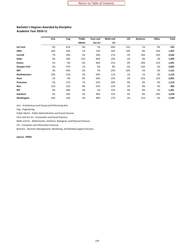#### <span id="page-9-0"></span>**Bachelor's Degrees Awarded by Discipline Academic Year 2010-11**

|                 | Arts | Eng | <b>Public</b> | Hum and | Math and | <b>CIS</b> | <b>Business</b> | Other | <b>Total</b> |
|-----------------|------|-----|---------------|---------|----------|------------|-----------------|-------|--------------|
|                 |      |     | Admin         | Soc Sci | Sci      |            |                 |       |              |
| Cal Tech        | 0%   | 41% | 0%            | 1%      | 44%      | 11%        | 1%              | 0%    | 235          |
| <b>CMU</b>      | 16%  | 24% | 1%            | 13%     | 16%      | 13%        | 8%              | 10%   | 1,367        |
| Cornell         | 7%   | 18% | 2%            | 20%     | 17%      | 3%         | 14%             | 19%   | 3,542        |
| <b>Duke</b>     | 3%   | 18% | 12%           | 46%     | 19%      | 2%         | 0%              | 2%    | 1,493        |
| <b>Emory</b>    | 2%   | 0%  | 0%            | 46%     | 21%      | 0%         | 18%             | 12%   | 1,641        |
| Georgia Tech    | 5%   | 57% | 1%            | 6%      | 8%       | 6%         | 14%             | 3%    | 3,062        |
| <b>MIT</b>      | 3%   | 44% | 0%            | 7%      | 24%      | 14%        | 5%              | 3%    | 1,161        |
| Northwestern    | 10%  | 15% | 3%            | 56%     | 11%      | 1%         | 1%              | 3%    | 2,135        |
| Penn            | 3%   | 9%  | 0%            | 39%     | 12%      | 3%         | 22%             | 12%   | 2,891        |
| Princeton       | 5%   | 17% | 7%            | 52%     | 20%      | 0%         | 0%              | 0%    | 1,219        |
| Rice            | 12%  | 22% | 0%            | 41%     | 21%      | 2%         | 0%              | 3%    | 802          |
| <b>RPI</b>      | 6%   | 58% | 0%            | 5%      | 12%      | 9%         | 8%              | 2%    | 1,281        |
| <b>Stanford</b> | 3%   | 19% | 2%            | 40%     | 15%      | 5%         | 0%              | 16%   | 1,670        |
| Washington      | 10%  | 14% | 0%            | 40%     | 17%      | 3%         | 11%             | 5%    | 1,539        |

Arts - Architecture and Visual and Performing Arts

Eng - Engineering

Public Admin - Public Administration and Social Services

Hum and Soc Sci - Humanities and Social Sciences

Math and Sci - Mathematics, Statistics, Biological, and Physical Sciences

CIS - Computer and Information Sciences

Business - Business Management, Marketing, and Related Support Services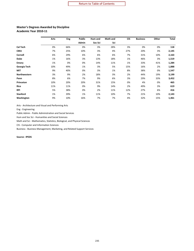#### <span id="page-10-0"></span>**Master's Degrees Awarded by Discipline Academic Year 2010-11**

|                     | Arts | Eng | <b>Public</b> | Hum and | Math and | <b>CIS</b> | <b>Business</b> | Other | <b>Total</b> |
|---------------------|------|-----|---------------|---------|----------|------------|-----------------|-------|--------------|
|                     |      |     | Admin         | Soc Sci | Sci      |            |                 |       |              |
| Cal Tech            | 0%   | 66% | 0%            | 3%      | 28%      | 3%         | 0%              | 0%    | 118          |
| <b>CMU</b>          | 7%   | 25% | 10%           | 3%      | 4%       | 27%        | 20%             | 3%    | 2,145        |
| Cornell             | 6%   | 29% | 6%            | 6%      | 6%       | 7%         | 31%             | 10%   | 2,163        |
| <b>Duke</b>         | 1%   | 16% | 3%            | 13%     | 18%      | 1%         | 46%             | 3%    | 1,519        |
| <b>Emory</b>        | 1%   | 0%  | 0%            | 14%     | 11%      | 1%         | 33%             | 41%   | 1,284        |
| Georgia Tech        | 10%  | 49% | 1%            | 3%      | 5%       | 15%        | 16%             | 2%    | 1,888        |
| <b>MIT</b>          | 9%   | 40% | 0%            | 3%      | 1%       | 8%         | 38%             | 0%    | 1,547        |
| <b>Northwestern</b> | 3%   | 9%  | 2%            | 18%     | 3%       | 2%         | 44%             | 19%   | 3,199        |
| Penn                | 8%   | 6%  | 7%            | 9%      | 6%       | 3%         | 29%             | 33%   | 3,452        |
| Princeton           | 10%  | 20% | 20%           | 31%     | 15%      | 0%         | 4%              | 0%    | 465          |
| Rice                | 11%  | 11% | 0%            | 9%      | 14%      | 2%         | 49%             | 3%    | 619          |
| <b>RPI</b>          | 5%   | 38% | 0%            | 2%      | 11%      | 12%        | 27%             | 6%    | 416          |
| <b>Stanford</b>     | 1%   | 39% | 1%            | 11%     | 10%      | 7%         | 21%             | 10%   | 2,143        |
| Washington          | 9%   | 10% | 16%           | 7%      | 7%       | 4%         | 32%             | 15%   | 1,461        |

Arts - Architecture and Visual and Performing Arts

Eng - Engineering

Public Admin - Public Administration and Social Services

Hum and Soc Sci - Humanities and Social Sciences

Math and Sci - Mathematics, Statistics, Biological, and Physical Sciences

CIS - Computer and Information Sciences

Business - Business Management, Marketing, and Related Support Services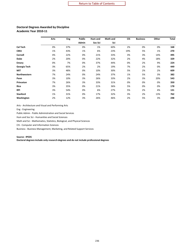#### <span id="page-11-0"></span>**Doctoral Degrees Awarded by Discipline Academic Year 2010-11**

|                 | Arts | Eng | <b>Public</b> | Hum and | Math and | <b>CIS</b> | <b>Business</b> | Other | <b>Total</b> |
|-----------------|------|-----|---------------|---------|----------|------------|-----------------|-------|--------------|
|                 |      |     |               |         |          |            |                 |       |              |
|                 |      |     | Admin         | Soc Sci | Sci      |            |                 |       |              |
| <b>Cal Tech</b> | 0%   | 37% | 0%            | 1%      | 60%      | 2%         | 0%              | 0%    | 168          |
| <b>CMU</b>      | 1%   | 43% | 1%            | 6%      | 23%      | 19%        | 5%              | 1%    | 270          |
| Cornell         | 4%   | 22% | 0%            | 21%     | 33%      | 3%         | 3%              | 14%   | 495          |
| <b>Duke</b>     | 2%   | 20% | 0%            | 22%     | 32%      | 2%         | 4%              | 18%   | 329          |
| <b>Emory</b>    | 0%   | 7%  | 0%            | 37%     | 44%      | 0%         | 2%              | 9%    | 224          |
| Georgia Tech    | 3%   | 65% | 2%            | 2%      | 19%      | 7%         | 2%              | 0%    | 449          |
| MIT             | 3%   | 48% | 0%            | 10%     | 30%      | 5%         | 2%              | 2%    | 609          |
| Northwestern    | 7%   | 24% | 0%            | 24%     | 37%      | 1%         | 5%              | 3%    | 382          |
| Penn            | 3%   | 10% | 3%            | 26%     | 33%      | 2%         | 3%              | 20%   | 543          |
| Princeton       | 7%   | 26% | 3%            | 33%     | 31%      | 0%         | 0%              | 0%    | 350          |
| Rice            | 3%   | 35% | 0%            | 21%     | 36%      | 5%         | 0%              | 0%    | 178          |
| <b>RPI</b>      | 3%   | 54% | 0%            | 6%      | 27%      | 5%         | 2%              | 4%    | 131          |
| <b>Stanford</b> | 1%   | 31% | 0%            | 17%     | 32%      | 3%         | 2%              | 13%   | 762          |
| Washington      | 2%   | 12% | 3%            | 26%     | 46%      | 2%         | 5%              | 3%    | 248          |
|                 |      |     |               |         |          |            |                 |       |              |

Arts - Architecture and Visual and Performing Arts

Eng - Engineering

Public Admin - Public Administration and Social Services

Hum and Soc Sci - Humanities and Social Sciences

Math and Sci - Mathematics, Statistics, Biological, and Physical Sciences

CIS - Computer and Information Sciences

Business - Business Management, Marketing, and Related Support Services

#### **Source: IPEDS**

**Doctoral degrees include only research degrees and do not include professional degrees**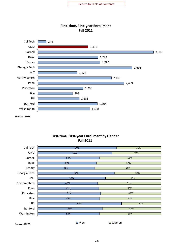

<span id="page-12-0"></span>

### **First‐time, First‐year Enrollment by Gender Fall 2011**

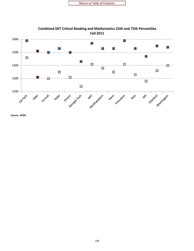<span id="page-13-0"></span>

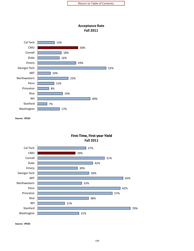

<span id="page-14-0"></span>



### **First‐Time, First‐year Yield Fall 2011**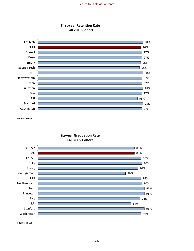

<span id="page-15-0"></span>

**Six‐year Graduation Rate Fall 2005 Cohort**

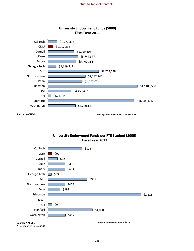

**University Endowment Funds (\$000)**

<span id="page-16-0"></span>

**Source: NACUBO**

**Average Peer Institution = \$6,695,558**

### **University Endowment Funds per FTE Student (\$000) Fiscal Year 2011**

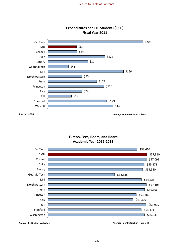<span id="page-17-0"></span>

### **Expenditures per FTE Student (\$000) Fiscal Year 2011**

**Source: IPEDS Average Peer Institution = \$107**

**Tuition, Fees, Room, and Board Room,Academic Year <sup>2012</sup>‐<sup>2013</sup>**



**Source: Institution Websites Average Peer Institution = \$53,342**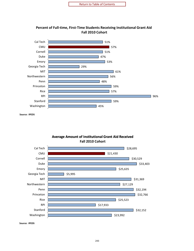<span id="page-18-0"></span>

**Percent of Full‐time, First‐Time Students Receiving Institutional Grant Aid Fall 2010 Cohort**

**Source: IPEDS**



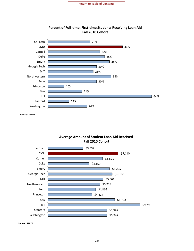<span id="page-19-0"></span>

**Percent of Full‐time, First‐time Students Receiving Loan Aid Fall 2010 Cohort**

**Source: IPEDS**



**Average Amount of Student Loan Aid Received**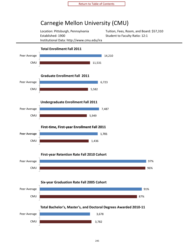# Carnegie Mellon University (CMU)

Established: 1900 Student to Faculty Ratio: 12:1 Institutional Data: http://www.cmu.edu/ira

Location: Pittsburgh, Pennsylvania Tuition, Fees, Room, and Board: \$57,310

<span id="page-20-0"></span>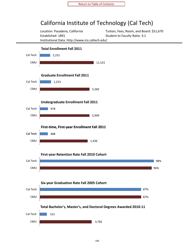# <span id="page-21-0"></span>California Institute of Technology (Cal Tech)

Location: Pasadena, California Tuition, Fees, Room, and Board: \$51,670 Established: 1891 Student to Faculty Ratio: 3:1 Institutional Data: http://www.iro.caltech.edu/

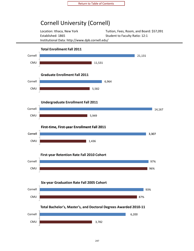# <span id="page-22-0"></span>Cornell University (Cornell)

Location: Ithaca, New York Tuition, Fees, Room, and Board: \$57,091 Established: 1865 Student to Faculty Ratio: 12:1 Institutional Data: http://www.dpb.cornell.edu/

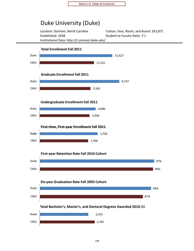# <span id="page-23-0"></span>Duke University (Duke)

Established: 1838 Student to Faculty Ratio: 7:1 Institutional Data: http://ir.provost.duke.edu/

Location: Durham, North Carolina Tuition, Fees, Room, and Board: \$55,871

96%

97%







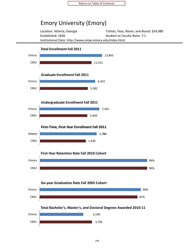# <span id="page-24-0"></span>Emory University (Emory)

Location: Atlanta, Georgia Tuition, Fees, Room, and Board: \$54,980 Established: 1836 Student to Faculty Ratio: 7:1 Institutional Data: http://www.oirpe.emory.edu/index.html

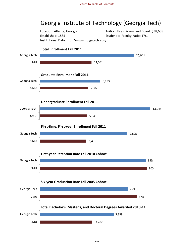# <span id="page-25-0"></span>Georgia Institute of Technology (Georgia Tech)

Location: Atlanta, Georgia Tuition, Fees, Room, and Board: \$38,638 Established: 1885 Student to Faculty Ratio: 17:1 Institutional Data: http://www.irp.gatech.edu/

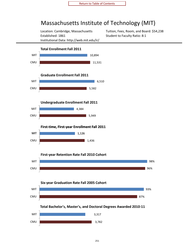# <span id="page-26-0"></span>Massachusetts Institute of Technology (MIT)

Location: Cambridge, Massachusetts Tuition, Fees, Room, and Board: \$54,238 Established: 1861 Student to Faculty Ratio: 8:1 Institutional Data: http://web.mit.edu/ir/

93%

96%

98%

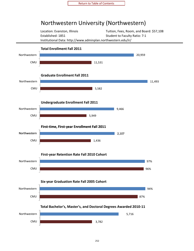# <span id="page-27-0"></span>Northwestern University (Northwestern)

Location: Evanston, Illinois Tuition, Fees, Room, and Board: \$57,108 Established: 1851 Student to Faculty Ratio: 7:1 Institutional Data: http://www.adminplan.northwestern.edu/ir/

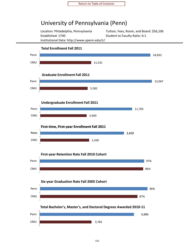### <span id="page-28-0"></span>University of Pennsylvania (Penn)

Established: 1740 Student to Faculty Ratio: 6:1 Institutional Data: http://www.upenn.edu/ir/

Location: Philadelphia, Pennsylvania Tuition, Fees, Room, and Board: \$56,106

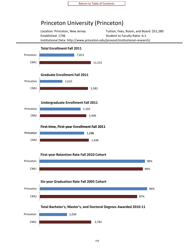# <span id="page-29-0"></span>Princeton University (Princeton)

Location: Princeton, New Jersey Tuition, Fees, Room, and Board: \$51,280 Established: 1746 Student to Faculty Ratio: 6:1 Institutional Data: http://www.princeton.edu/provost/institutional‐research/

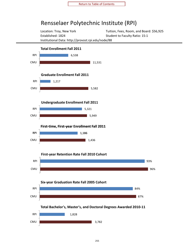### <span id="page-30-0"></span>Rensselaer Polytechnic Institute (RPI)

Location: Troy, New York Tuition, Fees, Room, and Board: \$56,925 Established: 1824 Student to Faculty Ratio: 15:1 Institutional Data: http://provost.rpi.edu/node/88

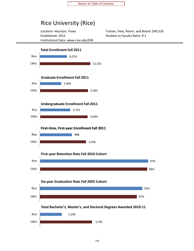### <span id="page-31-0"></span>Rice University (Rice)

Established: 1912 Student to Faculty Ratio: 9:1 Institutional Data: www.rice.edu/OIR

Location: Houston, Texas Tuition, Fees, Room, and Board: \$49,326

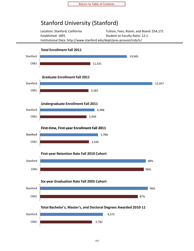### <span id="page-32-0"></span>Stanford University (Stanford)

Location: Stanford, California Tuition, Fees, Room, and Board: \$54,171 Established: 1891 Student to Faculty Ratio: 12:1 Institutional Data: http://www.stanford.edu/dept/pres‐provost/irds/ir/